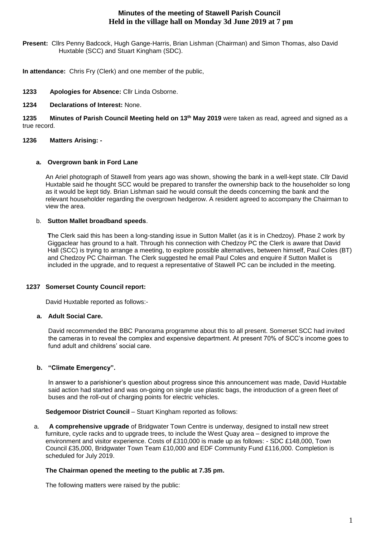# **Minutes of the meeting of Stawell Parish Council Held in the village hall on Monday 3d June 2019 at 7 pm**

**Present:** Cllrs Penny Badcock, Hugh Gange-Harris, Brian Lishman (Chairman) and Simon Thomas, also David Huxtable (SCC) and Stuart Kingham (SDC).

**In attendance:** Chris Fry (Clerk) and one member of the public,

**1233 Apologies for Absence:** Cllr Linda Osborne.

## **1234 Declarations of Interest:** None.

**1235 Minutes of Parish Council Meeting held on 13th May 2019** were taken as read, agreed and signed as a true record.

## **1236 Matters Arising: -**

## **a. Overgrown bank in Ford Lane**

An Ariel photograph of Stawell from years ago was shown, showing the bank in a well-kept state. Cllr David Huxtable said he thought SCC would be prepared to transfer the ownership back to the householder so long as it would be kept tidy. Brian Lishman said he would consult the deeds concerning the bank and the relevant householder regarding the overgrown hedgerow. A resident agreed to accompany the Chairman to view the area.

## b. **Sutton Mallet broadband speeds**.

**T**he Clerk said this has been a long-standing issue in Sutton Mallet (as it is in Chedzoy). Phase 2 work by Giggaclear has ground to a halt. Through his connection with Chedzoy PC the Clerk is aware that David Hall (SCC) is trying to arrange a meeting, to explore possible alternatives, between himself, Paul Coles (BT) and Chedzoy PC Chairman. The Clerk suggested he email Paul Coles and enquire if Sutton Mallet is included in the upgrade, and to request a representative of Stawell PC can be included in the meeting.

## **1237 Somerset County Council report:**

David Huxtable reported as follows:-

## **a. Adult Social Care.**

David recommended the BBC Panorama programme about this to all present. Somerset SCC had invited the cameras in to reveal the complex and expensive department. At present 70% of SCC's income goes to fund adult and childrens' social care.

## **b. "Climate Emergency".**

In answer to a parishioner's question about progress since this announcement was made, David Huxtable said action had started and was on-going on single use plastic bags, the introduction of a green fleet of buses and the roll-out of charging points for electric vehicles.

## **Sedgemoor District Council** – Stuart Kingham reported as follows:

a. **A comprehensive upgrade** of Bridgwater Town Centre is underway, designed to install new street furniture, cycle racks and to upgrade trees, to include the West Quay area – designed to improve the environment and visitor experience. Costs of £310,000 is made up as follows: - SDC £148,000, Town Council £35,000, Bridgwater Town Team £10,000 and EDF Community Fund £116,000. Completion is scheduled for July 2019.

## **The Chairman opened the meeting to the public at 7.35 pm.**

The following matters were raised by the public: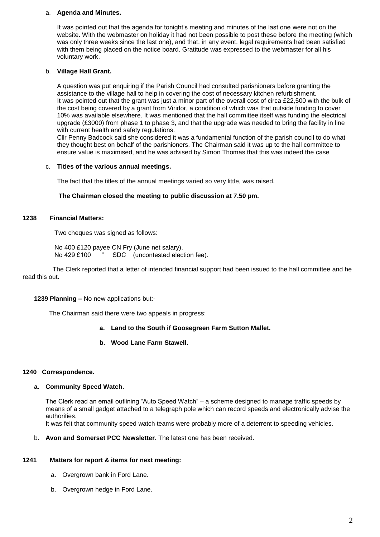#### a. **Agenda and Minutes.**

It was pointed out that the agenda for tonight's meeting and minutes of the last one were not on the website. With the webmaster on holiday it had not been possible to post these before the meeting (which was only three weeks since the last one), and that, in any event, legal requirements had been satisfied with them being placed on the notice board. Gratitude was expressed to the webmaster for all his voluntary work.

#### b. **Village Hall Grant.**

A question was put enquiring if the Parish Council had consulted parishioners before granting the assistance to the village hall to help in covering the cost of necessary kitchen refurbishment. It was pointed out that the grant was just a minor part of the overall cost of circa £22,500 with the bulk of the cost being covered by a grant from Viridor, a condition of which was that outside funding to cover 10% was available elsewhere. It was mentioned that the hall committee itself was funding the electrical upgrade (£3000) from phase 1 to phase 3, and that the upgrade was needed to bring the facility in line with current health and safety regulations.

Cllr Penny Badcock said she considered it was a fundamental function of the parish council to do what they thought best on behalf of the parishioners. The Chairman said it was up to the hall committee to ensure value is maximised, and he was advised by Simon Thomas that this was indeed the case

#### c. **Titles of the various annual meetings.**

The fact that the titles of the annual meetings varied so very little, was raised.

#### **The Chairman closed the meeting to public discussion at 7.50 pm.**

#### **1238 Financial Matters:**

Two cheques was signed as follows:

 No 400 £120 payee CN Fry (June net salary). No 429 £100 " SDC (uncontested election fee).

 The Clerk reported that a letter of intended financial support had been issued to the hall committee and he read this out.

## **1239 Planning –** No new applications but:-

The Chairman said there were two appeals in progress:

## **a. Land to the South if Goosegreen Farm Sutton Mallet.**

## **b. Wood Lane Farm Stawell.**

#### **1240 Correspondence.**

## **a. Community Speed Watch.**

The Clerk read an email outlining "Auto Speed Watch" – a scheme designed to manage traffic speeds by means of a small gadget attached to a telegraph pole which can record speeds and electronically advise the authorities.

It was felt that community speed watch teams were probably more of a deterrent to speeding vehicles.

b. **Avon and Somerset PCC Newsletter**. The latest one has been received.

## **1241 Matters for report & items for next meeting:**

- a. Overgrown bank in Ford Lane.
- b. Overgrown hedge in Ford Lane.